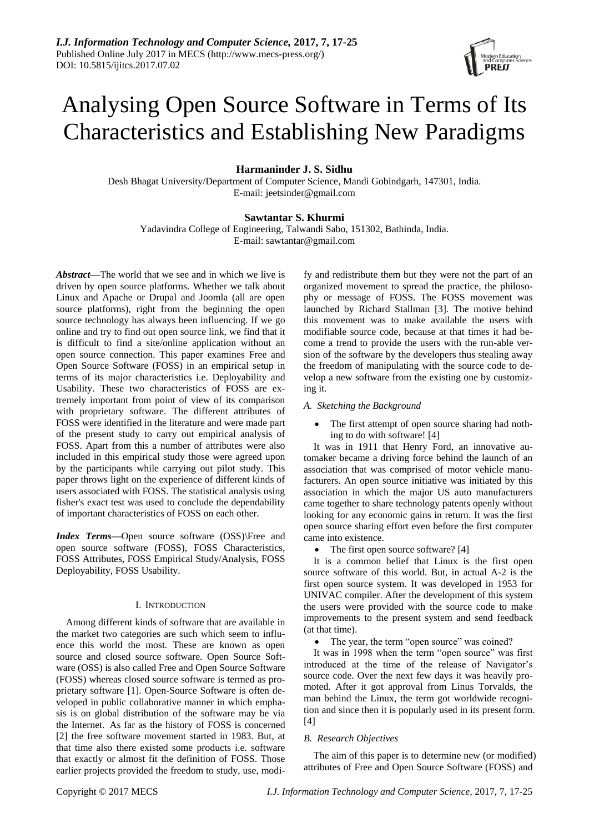# Analysing Open Source Software in Terms of Its Characteristics and Establishing New Paradigms

# **Harmaninder J. S. Sidhu**

Desh Bhagat University/Department of Computer Science, Mandi Gobindgarh, 147301, India. E-mail: jeetsinder@gmail.com

# **Sawtantar S. Khurmi**

Yadavindra College of Engineering, Talwandi Sabo, 151302, Bathinda, India. E-mail: sawtantar@gmail.com

*Abstract—*The world that we see and in which we live is driven by open source platforms. Whether we talk about Linux and Apache or Drupal and Joomla (all are open source platforms), right from the beginning the open source technology has always been influencing. If we go online and try to find out open source link, we find that it is difficult to find a site/online application without an open source connection. This paper examines Free and Open Source Software (FOSS) in an empirical setup in terms of its major characteristics i.e. Deployability and Usability. These two characteristics of FOSS are extremely important from point of view of its comparison with proprietary software. The different attributes of FOSS were identified in the literature and were made part of the present study to carry out empirical analysis of FOSS. Apart from this a number of attributes were also included in this empirical study those were agreed upon by the participants while carrying out pilot study. This paper throws light on the experience of different kinds of users associated with FOSS. The statistical analysis using fisher's exact test was used to conclude the dependability of important characteristics of FOSS on each other.

*Index Terms—*Open source software (OSS)\Free and open source software (FOSS), FOSS Characteristics, FOSS Attributes, FOSS Empirical Study/Analysis, FOSS Deployability, FOSS Usability.

# I. INTRODUCTION

Among different kinds of software that are available in the market two categories are such which seem to influence this world the most. These are known as open source and closed source software. Open Source Software (OSS) is also called Free and Open Source Software (FOSS) whereas closed source software is termed as proprietary software [1]. Open-Source Software is often developed in public collaborative manner in which emphasis is on global distribution of the software may be via the Internet. As far as the history of FOSS is concerned [2] the free software movement started in 1983. But, at that time also there existed some products i.e. software that exactly or almost fit the definition of FOSS. Those earlier projects provided the freedom to study, use, modi-

fy and redistribute them but they were not the part of an organized movement to spread the practice, the philosophy or message of FOSS. The FOSS movement was launched by Richard Stallman [3]. The motive behind this movement was to make available the users with modifiable source code, because at that times it had become a trend to provide the users with the run-able version of the software by the developers thus stealing away the freedom of manipulating with the source code to develop a new software from the existing one by customizing it.

# *A. Sketching the Background*

 The first attempt of open source sharing had nothing to do with software! [4]

It was in 1911 that Henry Ford, an innovative automaker became a driving force behind the launch of an association that was comprised of motor vehicle manufacturers. An open source initiative was initiated by this association in which the major US auto manufacturers came together to share technology patents openly without looking for any economic gains in return. It was the first open source sharing effort even before the first computer came into existence.

The first open source software? [4]

It is a common belief that Linux is the first open source software of this world. But, in actual A-2 is the first open source system. It was developed in 1953 for UNIVAC compiler. After the development of this system the users were provided with the source code to make improvements to the present system and send feedback (at that time).

The year, the term "open source" was coined?

It was in 1998 when the term "open source" was first introduced at the time of the release of Navigator's source code. Over the next few days it was heavily promoted. After it got approval from Linus Torvalds, the man behind the Linux, the term got worldwide recognition and since then it is popularly used in its present form. [4]

# *B. Research Objectives*

The aim of this paper is to determine new (or modified) attributes of Free and Open Source Software (FOSS) and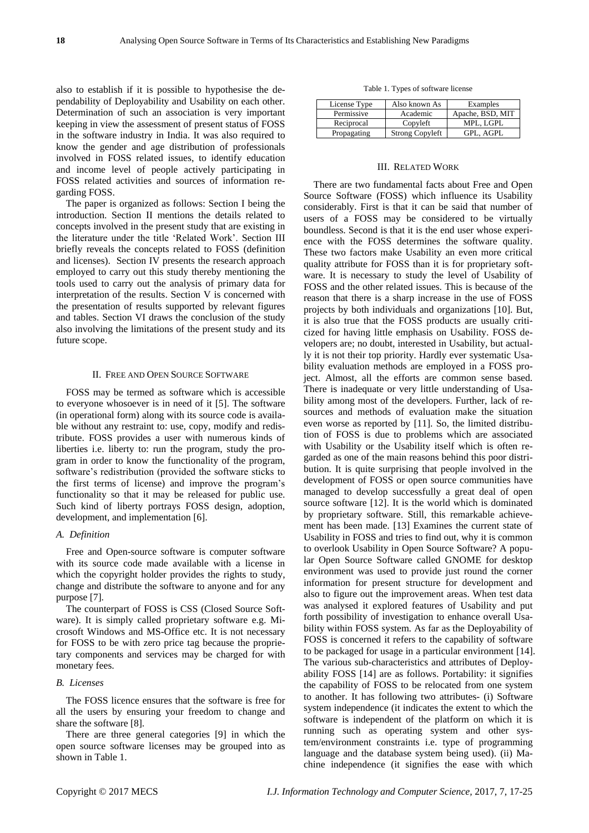also to establish if it is possible to hypothesise the dependability of Deployability and Usability on each other. Determination of such an association is very important keeping in view the assessment of present status of FOSS in the software industry in India. It was also required to know the gender and age distribution of professionals involved in FOSS related issues, to identify education and income level of people actively participating in FOSS related activities and sources of information regarding FOSS.

The paper is organized as follows: Section I being the introduction. Section II mentions the details related to concepts involved in the present study that are existing in the literature under the title "Related Work". Section III briefly reveals the concepts related to FOSS (definition and licenses). Section IV presents the research approach employed to carry out this study thereby mentioning the tools used to carry out the analysis of primary data for interpretation of the results. Section V is concerned with the presentation of results supported by relevant figures and tables. Section VI draws the conclusion of the study also involving the limitations of the present study and its future scope.

#### II. FREE AND OPEN SOURCE SOFTWARE

FOSS may be termed as software which is accessible to everyone whosoever is in need of it [5]. The software (in operational form) along with its source code is available without any restraint to: use, copy, modify and redistribute. FOSS provides a user with numerous kinds of liberties i.e. liberty to: run the program, study the program in order to know the functionality of the program, software's redistribution (provided the software sticks to the first terms of license) and improve the program"s functionality so that it may be released for public use. Such kind of liberty portrays FOSS design, adoption, development, and implementation [6].

# *A. Definition*

Free and Open-source software is computer software with its source code made available with a license in which the copyright holder provides the rights to study, change and distribute the software to anyone and for any purpose [7].

The counterpart of FOSS is CSS (Closed Source Software). It is simply called proprietary software e.g. Microsoft Windows and MS-Office etc. It is not necessary for FOSS to be with zero price tag because the proprietary components and services may be charged for with monetary fees.

# *B. Licenses*

The FOSS licence ensures that the software is free for all the users by ensuring your freedom to change and share the software [8].

There are three general categories [9] in which the open source software licenses may be grouped into as shown in Table 1.

Table 1. Types of software license

| License Type | Also known As          | Examples         |
|--------------|------------------------|------------------|
| Permissive   | Academic               | Apache, BSD, MIT |
| Reciprocal   | Copyleft               | MPL. LGPL        |
| Propagating  | <b>Strong Copyleft</b> | GPL. AGPL        |

# III. RELATED WORK

There are two fundamental facts about Free and Open Source Software (FOSS) which influence its Usability considerably. First is that it can be said that number of users of a FOSS may be considered to be virtually boundless. Second is that it is the end user whose experience with the FOSS determines the software quality. These two factors make Usability an even more critical quality attribute for FOSS than it is for proprietary software. It is necessary to study the level of Usability of FOSS and the other related issues. This is because of the reason that there is a sharp increase in the use of FOSS projects by both individuals and organizations [10]. But, it is also true that the FOSS products are usually criticized for having little emphasis on Usability. FOSS developers are; no doubt, interested in Usability, but actually it is not their top priority. Hardly ever systematic Usability evaluation methods are employed in a FOSS project. Almost, all the efforts are common sense based. There is inadequate or very little understanding of Usability among most of the developers. Further, lack of resources and methods of evaluation make the situation even worse as reported by [11]. So, the limited distribution of FOSS is due to problems which are associated with Usability or the Usability itself which is often regarded as one of the main reasons behind this poor distribution. It is quite surprising that people involved in the development of FOSS or open source communities have managed to develop successfully a great deal of open source software [12]. It is the world which is dominated by proprietary software. Still, this remarkable achievement has been made. [13] Examines the current state of Usability in FOSS and tries to find out, why it is common to overlook Usability in Open Source Software? A popular Open Source Software called GNOME for desktop environment was used to provide just round the corner information for present structure for development and also to figure out the improvement areas. When test data was analysed it explored features of Usability and put forth possibility of investigation to enhance overall Usability within FOSS system. As far as the Deployability of FOSS is concerned it refers to the capability of software to be packaged for usage in a particular environment [14]. The various sub-characteristics and attributes of Deployability FOSS [14] are as follows. Portability: it signifies the capability of FOSS to be relocated from one system to another. It has following two attributes- (i) Software system independence (it indicates the extent to which the software is independent of the platform on which it is running such as operating system and other system/environment constraints i.e. type of programming language and the database system being used). (ii) Machine independence (it signifies the ease with which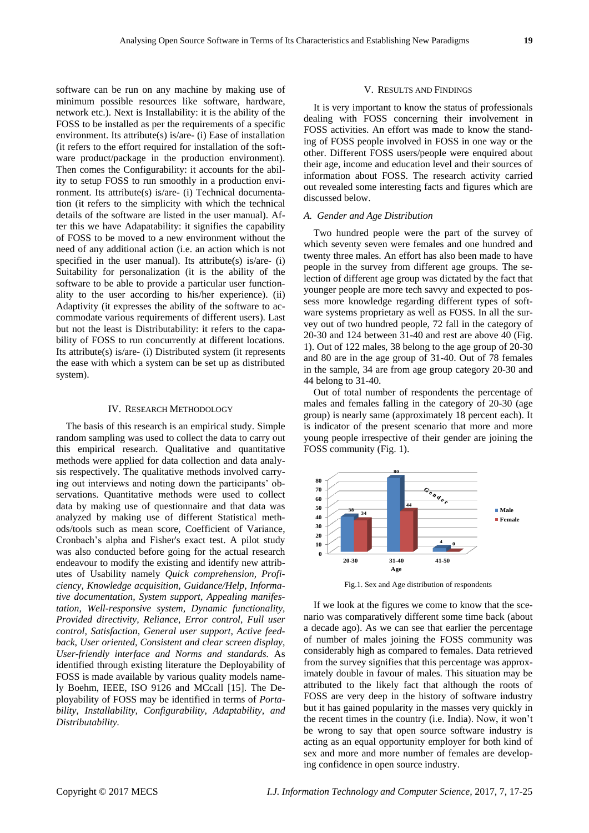software can be run on any machine by making use of minimum possible resources like software, hardware, network etc.). Next is Installability: it is the ability of the FOSS to be installed as per the requirements of a specific environment. Its attribute(s) is/are- (i) Ease of installation (it refers to the effort required for installation of the software product/package in the production environment). Then comes the Configurability: it accounts for the ability to setup FOSS to run smoothly in a production environment. Its attribute(s) is/are- (i) Technical documentation (it refers to the simplicity with which the technical details of the software are listed in the user manual). After this we have Adapatability: it signifies the capability of FOSS to be moved to a new environment without the need of any additional action (i.e. an action which is not specified in the user manual). Its attribute(s) is/are-  $(i)$ Suitability for personalization (it is the ability of the software to be able to provide a particular user functionality to the user according to his/her experience). (ii) Adaptivity (it expresses the ability of the software to accommodate various requirements of different users). Last but not the least is Distributability: it refers to the capability of FOSS to run concurrently at different locations. Its attribute(s) is/are- (i) Distributed system (it represents the ease with which a system can be set up as distributed system).

#### IV. RESEARCH METHODOLOGY

The basis of this research is an empirical study. Simple random sampling was used to collect the data to carry out this empirical research. Qualitative and quantitative methods were applied for data collection and data analysis respectively. The qualitative methods involved carrying out interviews and noting down the participants' observations. Quantitative methods were used to collect data by making use of questionnaire and that data was analyzed by making use of different Statistical methods/tools such as mean score, Coefficient of Variance, Cronbach"s alpha and Fisher's exact test. A pilot study was also conducted before going for the actual research endeavour to modify the existing and identify new attributes of Usability namely *Quick comprehension, Proficiency, Knowledge acquisition, Guidance/Help, Informative documentation, System support, Appealing manifestation, Well-responsive system, Dynamic functionality, Provided directivity, Reliance, Error control, Full user control, Satisfaction, General user support, Active feedback, User oriented, Consistent and clear screen display, User-friendly interface and Norms and standards.* As identified through existing literature the Deployability of FOSS is made available by various quality models namely Boehm, IEEE, ISO 9126 and MCcall [15]. The Deployability of FOSS may be identified in terms of *Portability, Installability, Configurability, Adaptability, and Distributability.*

# V. RESULTS AND FINDINGS

It is very important to know the status of professionals dealing with FOSS concerning their involvement in FOSS activities. An effort was made to know the standing of FOSS people involved in FOSS in one way or the other. Different FOSS users/people were enquired about their age, income and education level and their sources of information about FOSS. The research activity carried out revealed some interesting facts and figures which are discussed below.

# *A. Gender and Age Distribution*

Two hundred people were the part of the survey of which seventy seven were females and one hundred and twenty three males. An effort has also been made to have people in the survey from different age groups. The selection of different age group was dictated by the fact that younger people are more tech savvy and expected to possess more knowledge regarding different types of software systems proprietary as well as FOSS. In all the survey out of two hundred people, 72 fall in the category of 20-30 and 124 between 31-40 and rest are above 40 (Fig. 1). Out of 122 males, 38 belong to the age group of 20-30 and 80 are in the age group of 31-40. Out of 78 females in the sample, 34 are from age group category 20-30 and 44 belong to 31-40.

Out of total number of respondents the percentage of males and females falling in the category of 20-30 (age group) is nearly same (approximately 18 percent each). It is indicator of the present scenario that more and more young people irrespective of their gender are joining the FOSS community (Fig. 1).



Fig.1. Sex and Age distribution of respondents

If we look at the figures we come to know that the scenario was comparatively different some time back (about a decade ago). As we can see that earlier the percentage of number of males joining the FOSS community was considerably high as compared to females. Data retrieved from the survey signifies that this percentage was approximately double in favour of males. This situation may be attributed to the likely fact that although the roots of FOSS are very deep in the history of software industry but it has gained popularity in the masses very quickly in the recent times in the country (i.e. India). Now, it won"t be wrong to say that open source software industry is acting as an equal opportunity employer for both kind of sex and more and more number of females are developing confidence in open source industry.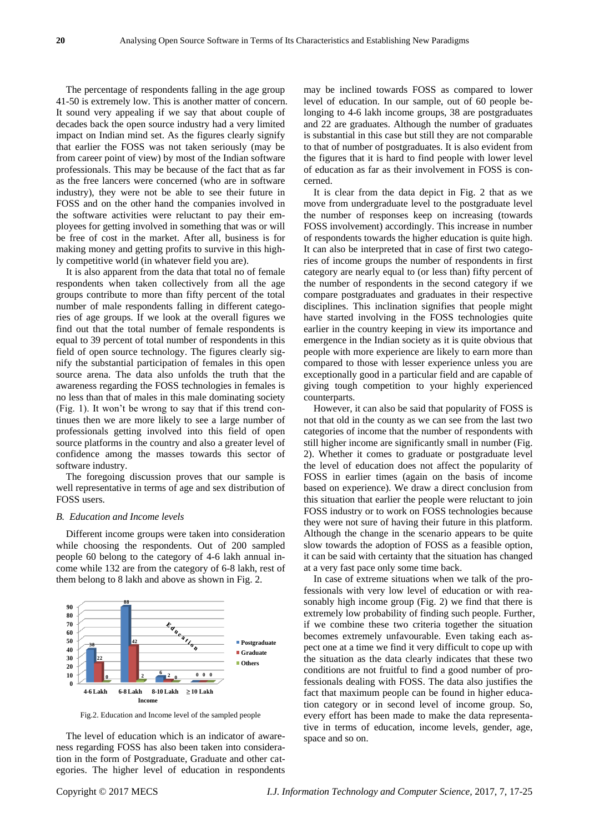The percentage of respondents falling in the age group 41-50 is extremely low. This is another matter of concern. It sound very appealing if we say that about couple of decades back the open source industry had a very limited impact on Indian mind set. As the figures clearly signify that earlier the FOSS was not taken seriously (may be from career point of view) by most of the Indian software professionals. This may be because of the fact that as far as the free lancers were concerned (who are in software industry), they were not be able to see their future in FOSS and on the other hand the companies involved in the software activities were reluctant to pay their employees for getting involved in something that was or will be free of cost in the market. After all, business is for making money and getting profits to survive in this highly competitive world (in whatever field you are).

It is also apparent from the data that total no of female respondents when taken collectively from all the age groups contribute to more than fifty percent of the total number of male respondents falling in different categories of age groups. If we look at the overall figures we find out that the total number of female respondents is equal to 39 percent of total number of respondents in this field of open source technology. The figures clearly signify the substantial participation of females in this open source arena. The data also unfolds the truth that the awareness regarding the FOSS technologies in females is no less than that of males in this male dominating society (Fig. 1). It won"t be wrong to say that if this trend continues then we are more likely to see a large number of professionals getting involved into this field of open source platforms in the country and also a greater level of confidence among the masses towards this sector of software industry.

The foregoing discussion proves that our sample is well representative in terms of age and sex distribution of FOSS users.

### *B. Education and Income levels*

Different income groups were taken into consideration while choosing the respondents. Out of 200 sampled people 60 belong to the category of 4-6 lakh annual income while 132 are from the category of 6-8 lakh, rest of them belong to 8 lakh and above as shown in Fig. 2.



Fig.2. Education and Income level of the sampled people

The level of education which is an indicator of awareness regarding FOSS has also been taken into consideration in the form of Postgraduate, Graduate and other categories. The higher level of education in respondents

may be inclined towards FOSS as compared to lower level of education. In our sample, out of 60 people belonging to 4-6 lakh income groups, 38 are postgraduates and 22 are graduates. Although the number of graduates is substantial in this case but still they are not comparable to that of number of postgraduates. It is also evident from the figures that it is hard to find people with lower level of education as far as their involvement in FOSS is concerned.

It is clear from the data depict in Fig. 2 that as we move from undergraduate level to the postgraduate level the number of responses keep on increasing (towards FOSS involvement) accordingly. This increase in number of respondents towards the higher education is quite high. It can also be interpreted that in case of first two categories of income groups the number of respondents in first category are nearly equal to (or less than) fifty percent of the number of respondents in the second category if we compare postgraduates and graduates in their respective disciplines. This inclination signifies that people might have started involving in the FOSS technologies quite earlier in the country keeping in view its importance and emergence in the Indian society as it is quite obvious that people with more experience are likely to earn more than compared to those with lesser experience unless you are exceptionally good in a particular field and are capable of giving tough competition to your highly experienced counterparts.

However, it can also be said that popularity of FOSS is not that old in the county as we can see from the last two categories of income that the number of respondents with still higher income are significantly small in number (Fig. 2). Whether it comes to graduate or postgraduate level the level of education does not affect the popularity of FOSS in earlier times (again on the basis of income based on experience). We draw a direct conclusion from this situation that earlier the people were reluctant to join FOSS industry or to work on FOSS technologies because they were not sure of having their future in this platform. Although the change in the scenario appears to be quite slow towards the adoption of FOSS as a feasible option, it can be said with certainty that the situation has changed at a very fast pace only some time back.

In case of extreme situations when we talk of the professionals with very low level of education or with reasonably high income group (Fig. 2) we find that there is extremely low probability of finding such people. Further, if we combine these two criteria together the situation becomes extremely unfavourable. Even taking each aspect one at a time we find it very difficult to cope up with the situation as the data clearly indicates that these two conditions are not fruitful to find a good number of professionals dealing with FOSS. The data also justifies the fact that maximum people can be found in higher education category or in second level of income group. So, every effort has been made to make the data representative in terms of education, income levels, gender, age, space and so on.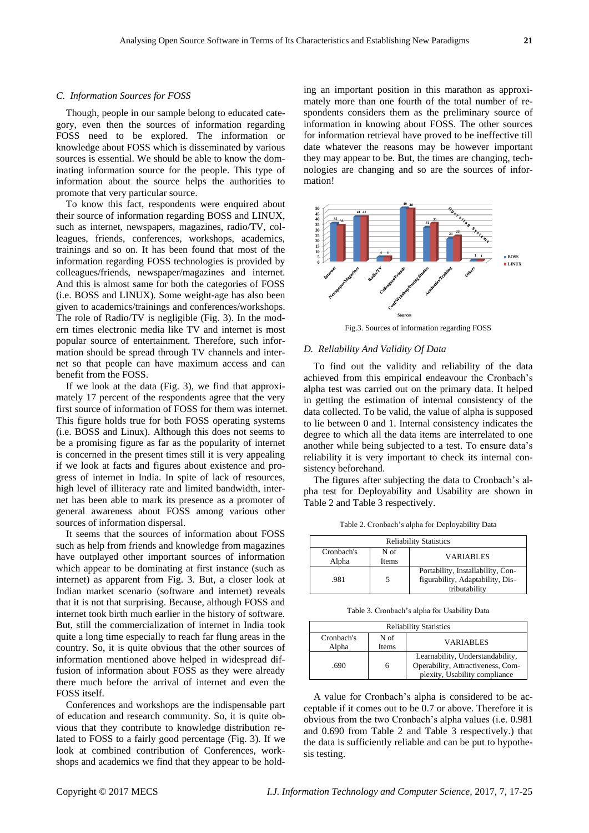#### *C. Information Sources for FOSS*

Though, people in our sample belong to educated category, even then the sources of information regarding FOSS need to be explored. The information or knowledge about FOSS which is disseminated by various sources is essential. We should be able to know the dominating information source for the people. This type of information about the source helps the authorities to promote that very particular source.

To know this fact, respondents were enquired about their source of information regarding BOSS and LINUX, such as internet, newspapers, magazines, radio/TV, colleagues, friends, conferences, workshops, academics, trainings and so on. It has been found that most of the information regarding FOSS technologies is provided by colleagues/friends, newspaper/magazines and internet. And this is almost same for both the categories of FOSS (i.e. BOSS and LINUX). Some weight-age has also been given to academics/trainings and conferences/workshops. The role of Radio/TV is negligible (Fig. 3). In the modern times electronic media like TV and internet is most popular source of entertainment. Therefore, such information should be spread through TV channels and internet so that people can have maximum access and can benefit from the FOSS.

If we look at the data (Fig. 3), we find that approximately 17 percent of the respondents agree that the very first source of information of FOSS for them was internet. This figure holds true for both FOSS operating systems (i.e. BOSS and Linux). Although this does not seems to be a promising figure as far as the popularity of internet is concerned in the present times still it is very appealing if we look at facts and figures about existence and progress of internet in India. In spite of lack of resources, high level of illiteracy rate and limited bandwidth, internet has been able to mark its presence as a promoter of general awareness about FOSS among various other sources of information dispersal.

It seems that the sources of information about FOSS such as help from friends and knowledge from magazines have outplayed other important sources of information which appear to be dominating at first instance (such as internet) as apparent from Fig. 3. But, a closer look at Indian market scenario (software and internet) reveals that it is not that surprising. Because, although FOSS and internet took birth much earlier in the history of software. But, still the commercialization of internet in India took quite a long time especially to reach far flung areas in the country. So, it is quite obvious that the other sources of information mentioned above helped in widespread diffusion of information about FOSS as they were already there much before the arrival of internet and even the FOSS itself.

Conferences and workshops are the indispensable part of education and research community. So, it is quite obvious that they contribute to knowledge distribution related to FOSS to a fairly good percentage (Fig. 3). If we look at combined contribution of Conferences, workshops and academics we find that they appear to be hold-

ing an important position in this marathon as approximately more than one fourth of the total number of respondents considers them as the preliminary source of information in knowing about FOSS. The other sources for information retrieval have proved to be ineffective till date whatever the reasons may be however important they may appear to be. But, the times are changing, technologies are changing and so are the sources of information!



Fig.3. Sources of information regarding FOSS

#### *D. Reliability And Validity Of Data*

To find out the validity and reliability of the data achieved from this empirical endeavour the Cronbach"s alpha test was carried out on the primary data. It helped in getting the estimation of internal consistency of the data collected. To be valid, the value of alpha is supposed to lie between 0 and 1. Internal consistency indicates the degree to which all the data items are interrelated to one another while being subjected to a test. To ensure data"s reliability it is very important to check its internal consistency beforehand.

The figures after subjecting the data to Cronbach's alpha test for Deployability and Usability are shown in Table 2 and Table 3 respectively.

Table 2. Cronbach"s alpha for Deployability Data

| <b>Reliability Statistics</b> |               |                                                                                        |  |  |
|-------------------------------|---------------|----------------------------------------------------------------------------------------|--|--|
| Cronbach's<br>Alpha           | N of<br>Items | <b>VARIABLES</b>                                                                       |  |  |
| .981                          |               | Portability, Installability, Con-<br>figurability, Adaptability, Dis-<br>tributability |  |  |

Table 3. Cronbach"s alpha for Usability Data

| <b>Reliability Statistics</b> |               |                                                                                                        |  |  |  |
|-------------------------------|---------------|--------------------------------------------------------------------------------------------------------|--|--|--|
| Cronbach's<br>Alpha           | N of<br>Items | <b>VARIABLES</b>                                                                                       |  |  |  |
| .690                          | 6             | Learnability, Understandability,<br>Operability, Attractiveness, Com-<br>plexity, Usability compliance |  |  |  |

A value for Cronbach"s alpha is considered to be acceptable if it comes out to be 0.7 or above. Therefore it is obvious from the two Cronbach"s alpha values (i.e. 0.981 and 0.690 from Table 2 and Table 3 respectively.) that the data is sufficiently reliable and can be put to hypothesis testing.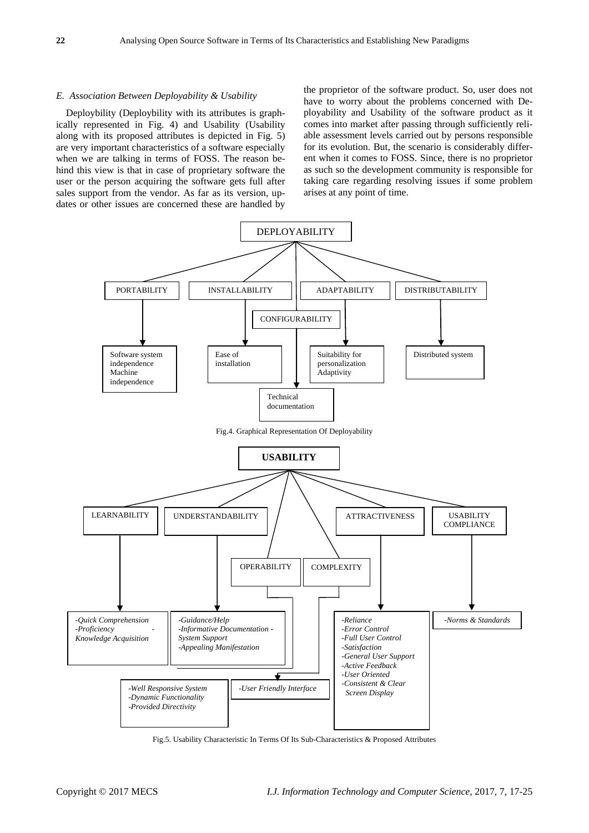#### *E. Association Between Deployability & Usability*

Deploybility (Deploybility with its attributes is graphically represented in Fig. 4) and Usability (Usability along with its proposed attributes is depicted in Fig. 5) are very important characteristics of a software especially when we are talking in terms of FOSS. The reason behind this view is that in case of proprietary software the user or the person acquiring the software gets full after sales support from the vendor. As far as its version, updates or other issues are concerned these are handled by

the proprietor of the software product. So, user does not have to worry about the problems concerned with Deployability and Usability of the software product as it comes into market after passing through sufficiently reliable assessment levels carried out by persons responsible for its evolution. But, the scenario is considerably different when it comes to FOSS. Since, there is no proprietor as such so the development community is responsible for taking care regarding resolving issues if some problem arises at any point of time.



Fig.5. Usability Characteristic In Terms Of Its Sub-Characteristics & Proposed Attributes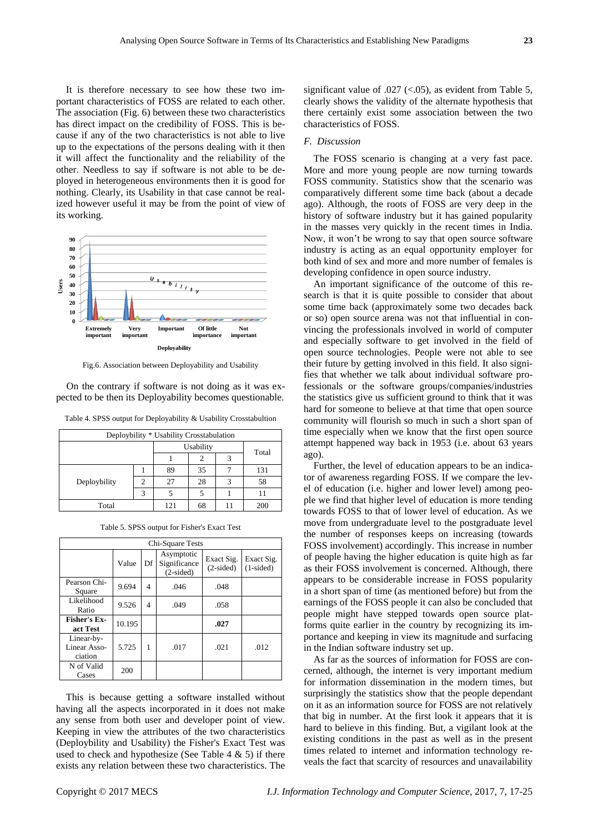It is therefore necessary to see how these two important characteristics of FOSS are related to each other. The association (Fig. 6) between these two characteristics has direct impact on the credibility of FOSS. This is because if any of the two characteristics is not able to live up to the expectations of the persons dealing with it then it will affect the functionality and the reliability of the other. Needless to say if software is not able to be deployed in heterogeneous environments then it is good for nothing. Clearly, its Usability in that case cannot be realized however useful it may be from the point of view of its working.



Fig.6. Association between Deployability and Usability

On the contrary if software is not doing as it was expected to be then its Deployability becomes questionable.

| Table 4. SPSS output for Deployability & Usability Crosstabultion |  |  |  |
|-------------------------------------------------------------------|--|--|--|
|-------------------------------------------------------------------|--|--|--|

| Deploybility * Usability Crosstabulation |           |     |    |       |     |  |
|------------------------------------------|-----------|-----|----|-------|-----|--|
|                                          | Usability |     |    |       |     |  |
|                                          |           |     |    | Total |     |  |
|                                          |           | 89  | 35 |       | 131 |  |
| Deploybility                             | 2         | 27  | 28 |       | 58  |  |
|                                          | 3         |     |    |       | 11  |  |
| Total                                    |           | 121 | 68 |       | 200 |  |

|  | Table 5. SPSS output for Fisher's Exact Test |  |  |  |  |  |  |
|--|----------------------------------------------|--|--|--|--|--|--|
|--|----------------------------------------------|--|--|--|--|--|--|

| Chi-Square Tests                      |        |    |                                           |                           |                           |  |  |
|---------------------------------------|--------|----|-------------------------------------------|---------------------------|---------------------------|--|--|
|                                       | Value  | Df | Asymptotic<br>Significance<br>$(2-sided)$ | Exact Sig.<br>$(2-sided)$ | Exact Sig.<br>$(1-sided)$ |  |  |
| Pearson Chi-<br>Square                | 9.694  | 4  | .046                                      | .048                      |                           |  |  |
| Likelihood<br>Ratio                   | 9.526  | 4  | .049                                      | .058                      |                           |  |  |
| Fisher's Ex-<br>act Test              | 10.195 |    |                                           | .027                      |                           |  |  |
| Linear-by-<br>Linear Asso-<br>ciation | 5.725  | 1  | .017                                      | .021                      | .012                      |  |  |
| N of Valid<br>Cases                   | 200    |    |                                           |                           |                           |  |  |

This is because getting a software installed without having all the aspects incorporated in it does not make any sense from both user and developer point of view. Keeping in view the attributes of the two characteristics (Deploybility and Usability) the Fisher's Exact Test was used to check and hypothesize (See Table  $4 \& 5$ ) if there exists any relation between these two characteristics. The

significant value of .027  $\left( <.05 \right)$ , as evident from Table 5, clearly shows the validity of the alternate hypothesis that there certainly exist some association between the two characteristics of FOSS.

#### *F. Discussion*

The FOSS scenario is changing at a very fast pace. More and more young people are now turning towards FOSS community. Statistics show that the scenario was comparatively different some time back (about a decade ago). Although, the roots of FOSS are very deep in the history of software industry but it has gained popularity in the masses very quickly in the recent times in India. Now, it won"t be wrong to say that open source software industry is acting as an equal opportunity employer for both kind of sex and more and more number of females is developing confidence in open source industry.

An important significance of the outcome of this research is that it is quite possible to consider that about some time back (approximately some two decades back or so) open source arena was not that influential in convincing the professionals involved in world of computer and especially software to get involved in the field of open source technologies. People were not able to see their future by getting involved in this field. It also signifies that whether we talk about individual software professionals or the software groups/companies/industries the statistics give us sufficient ground to think that it was hard for someone to believe at that time that open source community will flourish so much in such a short span of time especially when we know that the first open source attempt happened way back in 1953 (i.e. about 63 years ago).

Further, the level of education appears to be an indicator of awareness regarding FOSS. If we compare the level of education (i.e. higher and lower level) among people we find that higher level of education is more tending towards FOSS to that of lower level of education. As we move from undergraduate level to the postgraduate level the number of responses keeps on increasing (towards FOSS involvement) accordingly. This increase in number of people having the higher education is quite high as far as their FOSS involvement is concerned. Although, there appears to be considerable increase in FOSS popularity in a short span of time (as mentioned before) but from the earnings of the FOSS people it can also be concluded that people might have stepped towards open source platforms quite earlier in the country by recognizing its importance and keeping in view its magnitude and surfacing in the Indian software industry set up.

As far as the sources of information for FOSS are concerned, although, the internet is very important medium for information dissemination in the modern times, but surprisingly the statistics show that the people dependant on it as an information source for FOSS are not relatively that big in number. At the first look it appears that it is hard to believe in this finding. But, a vigilant look at the existing conditions in the past as well as in the present times related to internet and information technology reveals the fact that scarcity of resources and unavailability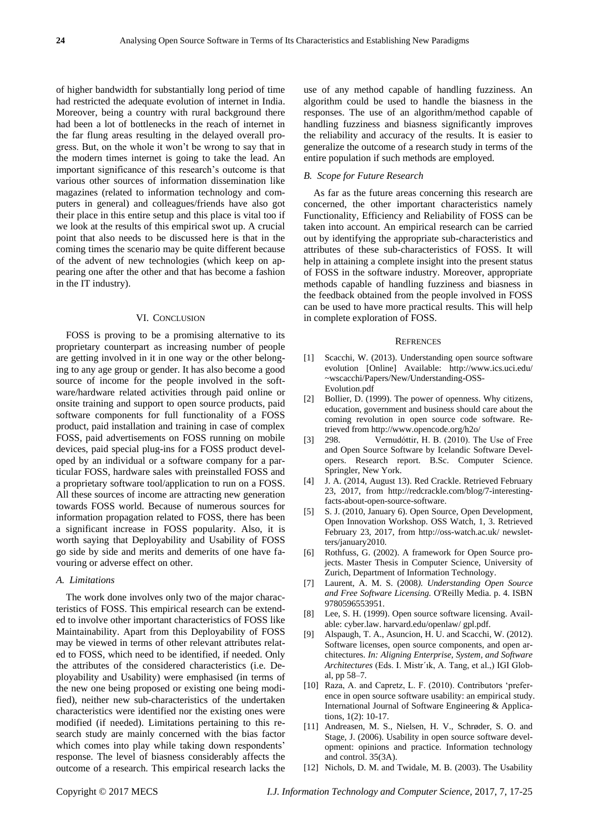of higher bandwidth for substantially long period of time had restricted the adequate evolution of internet in India. Moreover, being a country with rural background there had been a lot of bottlenecks in the reach of internet in the far flung areas resulting in the delayed overall progress. But, on the whole it won"t be wrong to say that in the modern times internet is going to take the lead. An important significance of this research's outcome is that various other sources of information dissemination like magazines (related to information technology and computers in general) and colleagues/friends have also got their place in this entire setup and this place is vital too if we look at the results of this empirical swot up. A crucial point that also needs to be discussed here is that in the coming times the scenario may be quite different because of the advent of new technologies (which keep on appearing one after the other and that has become a fashion in the IT industry).

#### VI. CONCLUSION

FOSS is proving to be a promising alternative to its proprietary counterpart as increasing number of people are getting involved in it in one way or the other belonging to any age group or gender. It has also become a good source of income for the people involved in the software/hardware related activities through paid online or onsite training and support to open source products, paid software components for full functionality of a FOSS product, paid installation and training in case of complex FOSS, paid advertisements on FOSS running on mobile devices, paid special plug-ins for a FOSS product developed by an individual or a software company for a particular FOSS, hardware sales with preinstalled FOSS and a proprietary software tool/application to run on a FOSS. All these sources of income are attracting new generation towards FOSS world. Because of numerous sources for information propagation related to FOSS, there has been a significant increase in FOSS popularity. Also, it is worth saying that Deployability and Usability of FOSS go side by side and merits and demerits of one have favouring or adverse effect on other.

# *A. Limitations*

The work done involves only two of the major characteristics of FOSS. This empirical research can be extended to involve other important characteristics of FOSS like Maintainability. Apart from this Deployability of FOSS may be viewed in terms of other relevant attributes related to FOSS, which need to be identified, if needed. Only the attributes of the considered characteristics (i.e. Deployability and Usability) were emphasised (in terms of the new one being proposed or existing one being modified), neither new sub-characteristics of the undertaken characteristics were identified nor the existing ones were modified (if needed). Limitations pertaining to this research study are mainly concerned with the bias factor which comes into play while taking down respondents' response. The level of biasness considerably affects the outcome of a research. This empirical research lacks the use of any method capable of handling fuzziness. An algorithm could be used to handle the biasness in the responses. The use of an algorithm/method capable of handling fuzziness and biasness significantly improves the reliability and accuracy of the results. It is easier to generalize the outcome of a research study in terms of the entire population if such methods are employed.

#### *B. Scope for Future Research*

As far as the future areas concerning this research are concerned, the other important characteristics namely Functionality, Efficiency and Reliability of FOSS can be taken into account. An empirical research can be carried out by identifying the appropriate sub-characteristics and attributes of these sub-characteristics of FOSS. It will help in attaining a complete insight into the present status of FOSS in the software industry. Moreover, appropriate methods capable of handling fuzziness and biasness in the feedback obtained from the people involved in FOSS can be used to have more practical results. This will help in complete exploration of FOSS.

#### **REFRENCES**

- [1] Scacchi, W. (2013). Understanding open source software evolution [Online] Available: http://www.ics.uci.edu/ ~wscacchi/Papers/New/Understanding-OSS-Evolution.pdf
- [2] Bollier, D. (1999). The power of openness. Why citizens, education, government and business should care about the coming revolution in open source code software. Retrieved from http://www.opencode.org/h2o/
- [3] 298. Vernudóttir, H. B. (2010). The Use of Free and Open Source Software by Icelandic Software Developers. Research report. B.Sc. Computer Science. Springler, New York.
- [4] J. A. (2014, August 13). Red Crackle. Retrieved February 23, 2017, from http://redcrackle.com/blog/7-interestingfacts-about-open-source-software.
- [5] S. J. (2010, January 6). Open Source, Open Development, Open Innovation Workshop. OSS Watch, 1, 3. Retrieved February 23, 2017, from http://oss-watch.ac.uk/ newsletters/january2010.
- [6] Rothfuss, G. (2002). A framework for Open Source projects. Master Thesis in Computer Science, University of Zurich, Department of Information Technology.
- [7] Laurent, A. M. S. (2008*). Understanding Open Source and Free Software Licensing.* O'Reilly Media. p. 4. ISBN 9780596553951.
- [8] Lee, S. H. (1999). Open source software licensing. Available: cyber.law. harvard.edu/openlaw/ gpl.pdf.
- [9] Alspaugh, T. A., Asuncion, H. U. and Scacchi, W. (2012). Software licenses, open source components, and open architectures. *In: Aligning Enterprise, System, and Software Architectures* (Eds. I. Mistr´ık, A. Tang, et al.,) IGI Global, pp 58–7.
- [10] Raza, A. and Capretz, L. F. (2010). Contributors 'preference in open source software usability: an empirical study. International Journal of Software Engineering & Applications, 1(2): 10-17.
- [11] Andreasen, M. S., Nielsen, H. V., Schrøder, S. O. and Stage, J. (2006). Usability in open source software development: opinions and practice. Information technology and control. 35(3A).
- [12] Nichols, D. M. and Twidale, M. B. (2003). The Usability